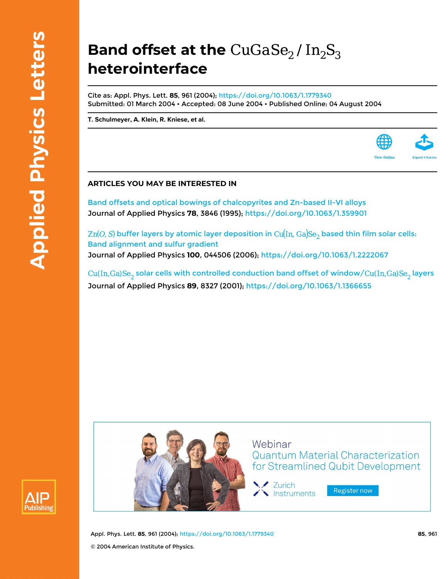## **Band offset at the** CuGaSe<sub>2</sub> / In<sub>2</sub>S<sub>3</sub> **heterointerface**

Cite as: Appl. Phys. Lett. **85**, 961 (2004);<https://doi.org/10.1063/1.1779340> Submitted: 01 March 2004 • Accepted: 08 June 2004 • Published Online: 04 August 2004

**[T. Schulmeyer,](https://aip.scitation.org/author/Schulmeyer%2C+T) [A. Klein,](https://aip.scitation.org/author/Klein%2C+A) [R. Kniese](https://aip.scitation.org/author/Kniese%2C+R), et al.**

## **ARTICLES YOU MAY BE INTERESTED IN**

[Band offsets and optical bowings of chalcopyrites and Zn-based II-VI alloys](https://aip.scitation.org/doi/10.1063/1.359901) Journal of Applied Physics **78**, 3846 (1995);<https://doi.org/10.1063/1.359901>

 $\text{Zn}(O, S)$  buffer layers by atomic layer deposition in  $\text{Cu}(\text{In, Ga})\text{Se}_2$  based thin film solar cells: [Band alignment and sulfur gradient](https://aip.scitation.org/doi/10.1063/1.2222067) Journal of Applied Physics **100**, 044506 (2006); <https://doi.org/10.1063/1.2222067>

 $Cu(In, Ga)Se<sub>2</sub>$  solar cells with controlled conduction band offset of window/ $Cu(In, Ga)Se<sub>2</sub>$  layers Journal of Applied Physics **89**, 8327 (2001); <https://doi.org/10.1063/1.1366655>





Webinar **Quantum Material Characterization** for Streamlined Qubit Development

Y Zurich Instruments

Register now

Appl. Phys. Lett. **85**, 961 (2004); <https://doi.org/10.1063/1.1779340> **85**, 961 © 2004 American Institute of Physics.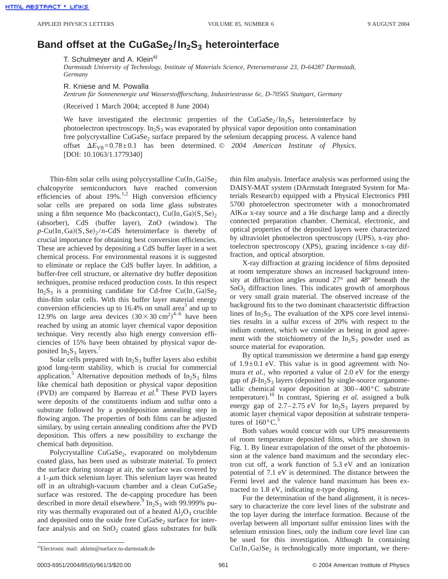## **Band offset at the CuGaSe<sub>2</sub>/In<sub>2</sub>S<sub>3</sub> heterointerface**

T. Schulmeyer and A. Klein<sup>a)</sup>

*Darmstadt University of Technology, Institute of Materials Science, Petersenstrasse 23, D-64287 Darmstadt, Germany*

R. Kniese and M. Powalla

*Zentrum für Sonnenenergie und Wasserstoffforschung, Industriestrasse 6c, D-70565 Stuttgart, Germany*

(Received 1 March 2004; accepted 8 June 2004)

We have investigated the electronic properties of the CuGaSe<sub>2</sub>/In<sub>2</sub>S<sub>3</sub> heterointerface by photoelectron spectroscopy.  $In<sub>2</sub>S<sub>3</sub>$  was evaporated by physical vapor deposition onto contamination free polycrystalline  $CuGaSe<sub>2</sub>$  surface prepared by the selenium decapping process. A valence band offset  $\Delta E_{VB} = 0.78 \pm 0.1$  has been determined.  $\odot$  2004 American Institute of Physics. [DOI: 10.1063/1.1779340]

Thin-film solar cells using polycrystalline  $Cu(In,Ga)Se<sub>2</sub>$ chalcopyrite semiconductors have reached conversion efficiencies of about  $19\%$ .<sup>1,2</sup> High conversion efficiency solar cells are prepared on soda lime glass substrates using a film sequence Mo (backcontact),  $Cu(In,Ga)(S,Se)_{2}$ (absorber), CdS (buffer layer), ZnO (window). The  $p$ -Cu(In,Ga) $(S, Se)$ <sub>2</sub>/*n*-CdS heterointerface is thereby of crucial importance for obtaining best conversion efficiencies. These are achieved by depositing a CdS buffer layer in a wet chemical process. For environmental reasons it is suggested to eliminate or replace the CdS buffer layer. In addition, a buffer-free cell structure, or alternative dry buffer deposition techniques, promise reduced production costs. In this respect In<sub>2</sub>S<sub>3</sub> is a promising candidate for Cd-free Cu(In,Ga)Se<sub>2</sub> thin-film solar cells. With this buffer layer material energy conversion efficiencies up to  $16.4\%$  on small area<sup>3</sup> and up to 12.9% on large area devices  $(30 \times 30 \text{ cm}^2)^{4-6}$  have been reached by using an atomic layer chemical vapor deposition technique. Very recently also high energy conversion efficiencies of 15% have been obtained by physical vapor deposited  $In_2S_3$  layers.

Solar cells prepared with  $In<sub>2</sub>S<sub>3</sub>$  buffer layers also exhibit good long-term stability, which is crucial for commercial application.<sup>5</sup> Alternative deposition methods of  $In_2S_3$  films like chemical bath deposition or physical vapor deposition (PVD) are compared by Barreau *et al.*<sup>8</sup> These PVD layers were deposits of the constituents indium and sulfur onto a substrate followed by a postdeposition annealing step in flowing argon. The properties of both films can be adjusted similary, by using certain annealing conditions after the PVD deposition. This offers a new possibility to exchange the chemical bath deposition.

Polycrystalline CuGaSe<sub>2</sub>, evaporated on molybdenum coated glass, has been used as substrate material. To protect the surface during storage at air, the surface was covered by a 1- $\mu$ m thick selenium layer. This selenium layer was heated off in an ultrahigh-vacuum chamber and a clean  $CuGaSe<sub>2</sub>$ surface was restored. The de-capping procedure has been described in more detail elsewhere.<sup>9</sup> In<sub>2</sub>S<sub>3</sub> with 99.999% purity was thermally evaporated out of a heated  $Al_2O_3$  crucible and deposited onto the oxide free  $CuGaSe<sub>2</sub>$  surface for interface analysis and on  $SnO<sub>2</sub>$  coated glass substrates for bulk thin film analysis. Interface analysis was performed using the DAISY-MAT system (DArmstadt Integrated System for Materials Research) equipped with a Physical Electronics PHI 5700 photoelectron spectrometer with a monochromated AlK $\alpha$  x-ray source and a He discharge lamp and a directly connected preparation chamber. Chemical, electronic, and optical properties of the deposited layers were characterized by ultraviolet photoelectron spectroscopy (UPS), x-ray photoelectron spectroscopy (XPS), grazing incidence x-ray diffraction, and optical absorption.

X-ray diffraction at grazing incidence of films deposited at room temperature shows an increased background intensity at diffraction angles around 27° and 48° beneath the  $SnO<sub>2</sub>$  diffraction lines. This indicates growth of amorphous or very small grain material. The observed increase of the background fits to the two dominant characteristic diffraction lines of  $In_2S_3$ . The evaluation of the XPS core level intensities results in a sulfur excess of 20% with respect to the indium content, which we consider as being in good agreement with the stoichiometry of the  $In<sub>2</sub>S<sub>3</sub>$  powder used as source material for evaporation.

By optical transmission we determine a band gap energy of  $1.9\pm0.1$  eV. This value is in good agreement with Nomura *et al.*, who reported a value of 2.0 eV for the energy gap of  $\beta$ -In<sub>2</sub>S<sub>3</sub> layers (deposited by single-source organometallic chemical vapor deposition at 300–400°C substrate temperature). <sup>10</sup> In contrast, Spiering *et al.* assigned a bulk energy gap of 2.7–2.75 eV for  $In<sub>2</sub>S<sub>3</sub>$  layers prepared by atomic layer chemical vapor deposition at substrate temperatures of  $160^{\circ}$ C.<sup>5</sup>

Both values would concur with our UPS measurements of room temperature deposited films, which are shown in Fig. 1. By linear extrapolation of the onset of the photoemission at the valence band maximum and the secondary electron cut off, a work function of 5.3 eV and an ionization potential of 7.1 eV is determined. The distance between the Fermi level and the valence band maximum has been extracted to 1.8 eV, indicating *n*-type doping.

For the determination of the band alignment, it is necessary to characterize the core level lines of the substrate and the top layer during the interface formation. Because of the overlap between all important sulfur emission lines with the selenium emission lines, only the indium core level line can be used for this investigation. Although In containing  $Cu(In,Ga)Se<sub>2</sub>$  is technologically more important, we there-

Electronic mail: aklein@surface.tu-darmstadt.de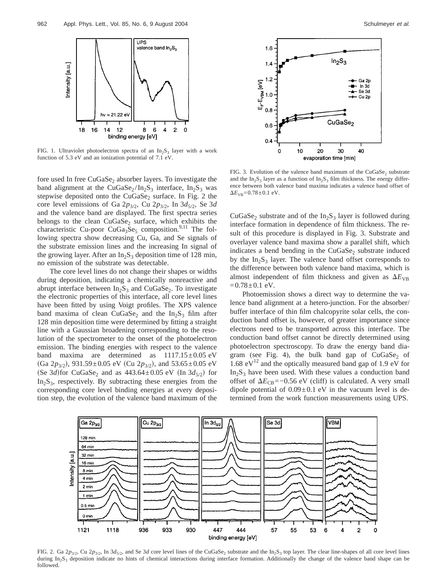

FIG. 1. Ultraviolet photoelectron spectra of an  $In_2S_3$  layer with a work function of 5.3 eV and an ionization potential of 7.1 eV.

fore used In free  $CuGaSe<sub>2</sub>$  absorber layers. To investigate the band alignment at the CuGaSe<sub>2</sub>/In<sub>2</sub>S<sub>3</sub> interface, In<sub>2</sub>S<sub>3</sub> was stepwise deposited onto the  $CuGaSe<sub>2</sub>$  surface. In Fig. 2 the core level emissions of Ga  $2p_{3/2}$ , Cu  $2p_{3/2}$ , In  $3d_{5/2}$ , Se  $3d$ and the valence band are displayed. The first spectra series belongs to the clean  $CuGaSe<sub>2</sub>$  surface, which exhibits the characteristic Cu-poor CuGa<sub>3</sub>Se<sub>5</sub> composition.<sup>9,11</sup> The following spectra show decreasing Cu, Ga, and Se signals of the substrate emission lines and the increasing In signal of the growing layer. After an  $In_2S_3$  deposition time of 128 min, no emission of the substrate was detectable.

The core level lines do not change their shapes or widths during deposition, indicating a chemically nonreactive and abrupt interface between  $In_2S_3$  and CuGaSe<sub>2</sub>. To investigate the electronic properties of this interface, all core level lines have been fitted by using Voigt profiles. The XPS valence band maxima of clean CuGaSe<sub>2</sub> and the  $In_2S_3$  film after 128 min deposition time were determined by fitting a straight line with a Gaussian broadening corresponding to the resolution of the spectrometer to the onset of the photoelectron emission. The binding energies with respect to the valence band maxima are determined as  $1117.15 \pm 0.05$  eV  $(Ga 2p_{3/2}), 931.59 \pm 0.05$  eV  $(Cu 2p_{3/2}),$  and 53.65 $\pm$ 0.05 eV  $(\text{Se } 3d)$ for CuGaSe<sub>2</sub> and as  $443.64 \pm 0.05$  eV  $(\text{In } 3d_{5/2})$  for  $In_2S_3$ , respectively. By subtracting these energies from the corresponding core level binding energies at every deposition step, the evolution of the valence band maximum of the



FIG. 3. Evolution of the valence band maximum of the CuGaSe, substrate and the In<sub>2</sub>S<sub>3</sub> layer as a function of In<sub>2</sub>S<sub>3</sub> film thickness. The energy difference between both valence band maxima indicates a valence band offset of  $\Delta E_{VB} = 0.78 \pm 0.1$  eV.

CuGaSe<sub>2</sub> substrate and of the  $In<sub>2</sub>S<sub>3</sub>$  layer is followed during interface formation in dependence of film thickness. The result of this procedure is displayed in Fig. 3. Substrate and overlayer valence band maxima show a parallel shift, which indicates a bend bending in the  $CuGaSe<sub>2</sub>$  substrate induced by the  $In_2S_3$  layer. The valence band offset corresponds to the difference between both valence band maxima, which is almost independent of film thickness and given as  $\Delta E_{VB}$  $=0.78\pm0.1$  eV.

Photoemission shows a direct way to determine the valence band alignment at a hetero-junction. For the absorber/ buffer interface of thin film chalcopyrite solar cells, the conduction band offset is, however, of greater importance since electrons need to be transported across this interface. The conduction band offset cannot be directly determined using photoelectron spectroscopy. To draw the energy band diagram (see Fig. 4), the bulk band gap of  $CuGaSe<sub>2</sub>$  of 1.68  $eV^{12}$  and the optically measured band gap of 1.9 eV for  $In_2S_3$  have been used. With these values a conduction band offset of  $\Delta E_{\text{CB}}$ =−0.56 eV (cliff) is calculated. A very small dipole potential of  $0.09 \pm 0.1$  eV in the vacuum level is determined from the work function measurements using UPS.



FIG. 2. Ga 2 $p_{3/2}$ , Cu 2 $p_{3/2}$ , In 3 $d_{5/2}$ , and Se 3*d* core level lines of the CuGaSe<sub>2</sub> substrate and the In<sub>2</sub>S<sub>3</sub> top layer. The clear line-shapes of all core level lines during In<sub>2</sub>S<sub>3</sub> deposition indicate no hints of chemical interactions during interface formation. Additionally the change of the valence band shape can be followed.